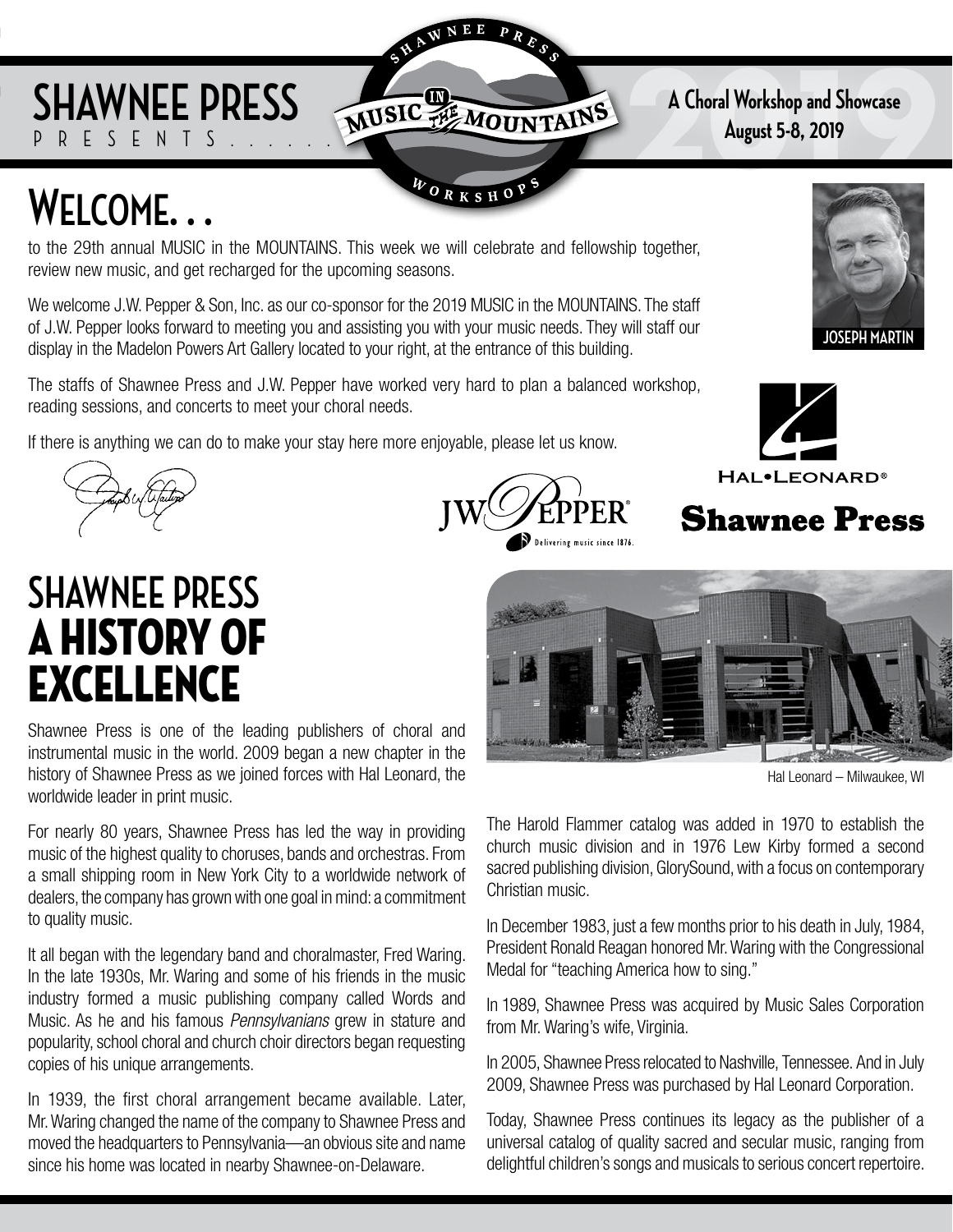### **SHAWNEE PRESS** FSFNTS

**2019 A Choral Workshop and Showcase**

## **Welcome. . .**

to the 29th annual MUSIC in the MOUNTAINS. This week we will celebrate and fellowship together, review new music, and get recharged for the upcoming seasons.

NEE

WORKSHO

We welcome J.W. Pepper & Son, Inc. as our co-sponsor for the 2019 MUSIC in the MOUNTAINS. The staff of J.W. Pepper looks forward to meeting you and assisting you with your music needs. They will staff our display in the Madelon Powers Art Gallery located to your right, at the entrance of this building.

The staffs of Shawnee Press and J.W. Pepper have worked very hard to plan a balanced workshop, reading sessions, and concerts to meet your choral needs.

If there is anything we can do to make your stay here more enjoyable, please let us know.



## **SHAWNEE PRESS** A History OF EXCELLENCE

Shawnee Press is one of the leading publishers of choral and instrumental music in the world. 2009 began a new chapter in the history of Shawnee Press as we joined forces with Hal Leonard, the worldwide leader in print music.

For nearly 80 years, Shawnee Press has led the way in providing music of the highest quality to choruses, bands and orchestras. From a small shipping room in New York City to a worldwide network of dealers, the company has grown with one goal in mind: a commitment to quality music.

It all began with the legendary band and choralmaster, Fred Waring. In the late 1930s, Mr. Waring and some of his friends in the music industry formed a music publishing company called Words and Music. As he and his famous *Pennsylvanians* grew in stature and popularity, school choral and church choir directors began requesting copies of his unique arrangements.

In 1939, the first choral arrangement became available. Later, Mr. Waring changed the name of the company to Shawnee Press and moved the headquarters to Pennsylvania—an obvious site and name since his home was located in nearby Shawnee-on-Delaware.











Hal Leonard – Milwaukee, WI

The Harold Flammer catalog was added in 1970 to establish the church music division and in 1976 Lew Kirby formed a second sacred publishing division, GlorySound, with a focus on contemporary Christian music.

In December 1983, just a few months prior to his death in July, 1984, President Ronald Reagan honored Mr. Waring with the Congressional Medal for "teaching America how to sing."

In 1989, Shawnee Press was acquired by Music Sales Corporation from Mr. Waring's wife, Virginia.

In 2005, Shawnee Press relocated to Nashville, Tennessee. And in July 2009, Shawnee Press was purchased by Hal Leonard Corporation.

Today, Shawnee Press continues its legacy as the publisher of a universal catalog of quality sacred and secular music, ranging from delightful children's songs and musicals to serious concert repertoire.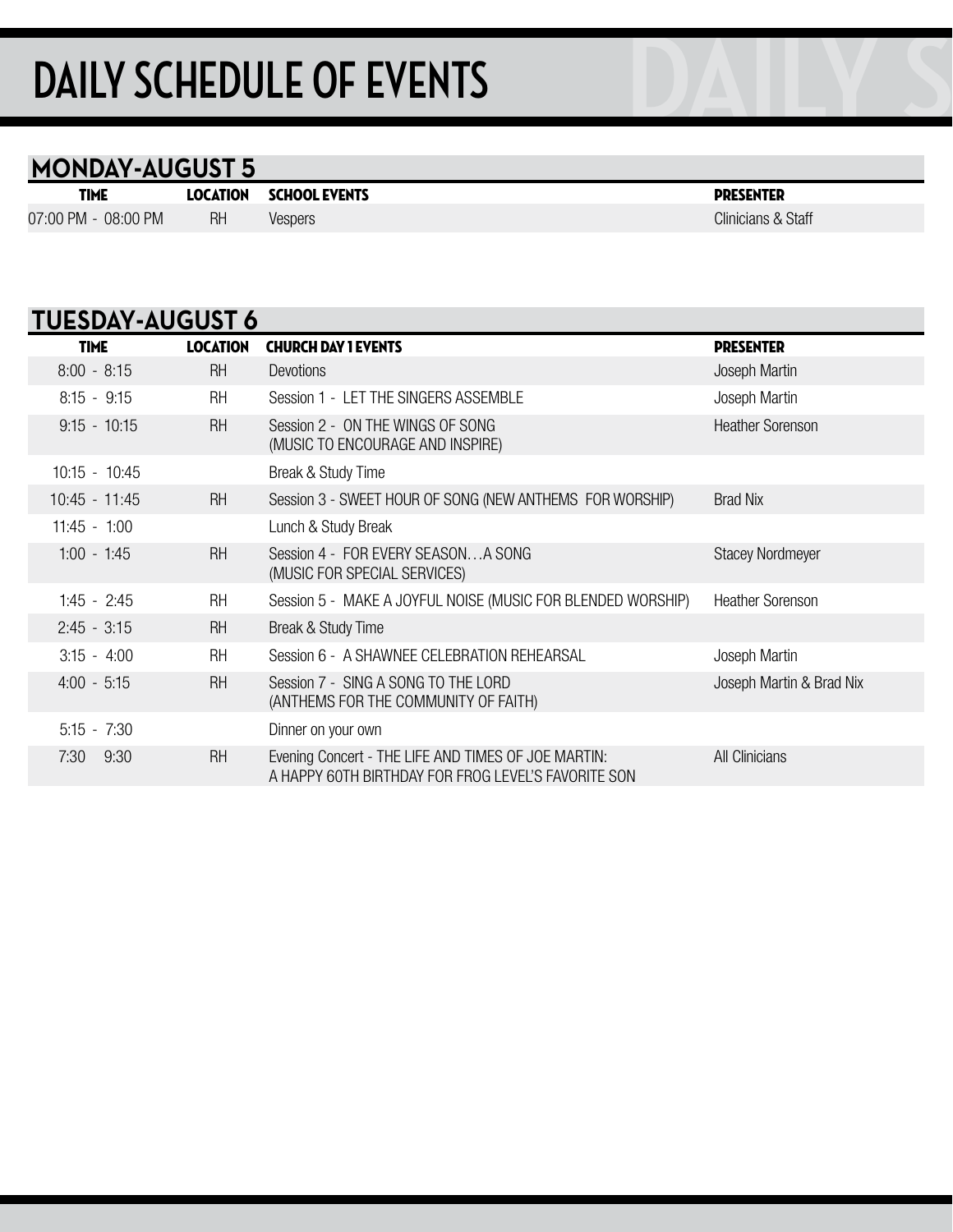# **DAILY SCHEDULE OF EVENTS**

#### **MONDAY-AUGUST 5**

| <b>TIME</b>         |           | <b>LOCATION SCHOOL EVENTS</b> | <b>PRESENTER</b> |
|---------------------|-----------|-------------------------------|------------------|
| 07:00 PM - 08:00 PM | <b>RH</b> | <b>Vespers</b>                | Clinicians &     |

Clinicians & Staff

| <b>TUESDAY-AUGUST 6</b> |                 |                                                                                                            |                          |
|-------------------------|-----------------|------------------------------------------------------------------------------------------------------------|--------------------------|
| <b>TIME</b>             | <b>LOCATION</b> | <b>CHURCH DAY 1 EVENTS</b>                                                                                 | <b>PRESENTER</b>         |
| $8:00 - 8:15$           | <b>RH</b>       | <b>Devotions</b>                                                                                           | Joseph Martin            |
| $8:15 - 9:15$           | <b>RH</b>       | Session 1 - LET THE SINGERS ASSEMBLE                                                                       | Joseph Martin            |
| $9:15 - 10:15$          | <b>RH</b>       | Session 2 - ON THE WINGS OF SONG<br>(MUSIC TO ENCOURAGE AND INSPIRE)                                       | <b>Heather Sorenson</b>  |
| $10:15 - 10:45$         |                 | Break & Study Time                                                                                         |                          |
| $10:45 - 11:45$         | <b>RH</b>       | Session 3 - SWEET HOUR OF SONG (NEW ANTHEMS FOR WORSHIP)                                                   | <b>Brad Nix</b>          |
| $11:45 - 1:00$          |                 | Lunch & Study Break                                                                                        |                          |
| $1:00 - 1:45$           | <b>RH</b>       | Session 4 - FOR EVERY SEASONA SONG<br>(MUSIC FOR SPECIAL SERVICES)                                         | <b>Stacey Nordmeyer</b>  |
| $1:45 - 2:45$           | <b>RH</b>       | Session 5 - MAKE A JOYFUL NOISE (MUSIC FOR BLENDED WORSHIP)                                                | <b>Heather Sorenson</b>  |
| $2:45 - 3:15$           | <b>RH</b>       | Break & Study Time                                                                                         |                          |
| $3:15 - 4:00$           | <b>RH</b>       | Session 6 - A SHAWNEE CELEBRATION REHEARSAL                                                                | Joseph Martin            |
| $4:00 - 5:15$           | <b>RH</b>       | Session 7 - SING A SONG TO THE LORD<br>(ANTHEMS FOR THE COMMUNITY OF FAITH)                                | Joseph Martin & Brad Nix |
| $5:15 - 7:30$           |                 | Dinner on your own                                                                                         |                          |
| 7:30<br>9:30            | <b>RH</b>       | Evening Concert - THE LIFE AND TIMES OF JOE MARTIN:<br>A HAPPY 60TH BIRTHDAY FOR FROG LEVEL'S FAVORITE SON | All Clinicians           |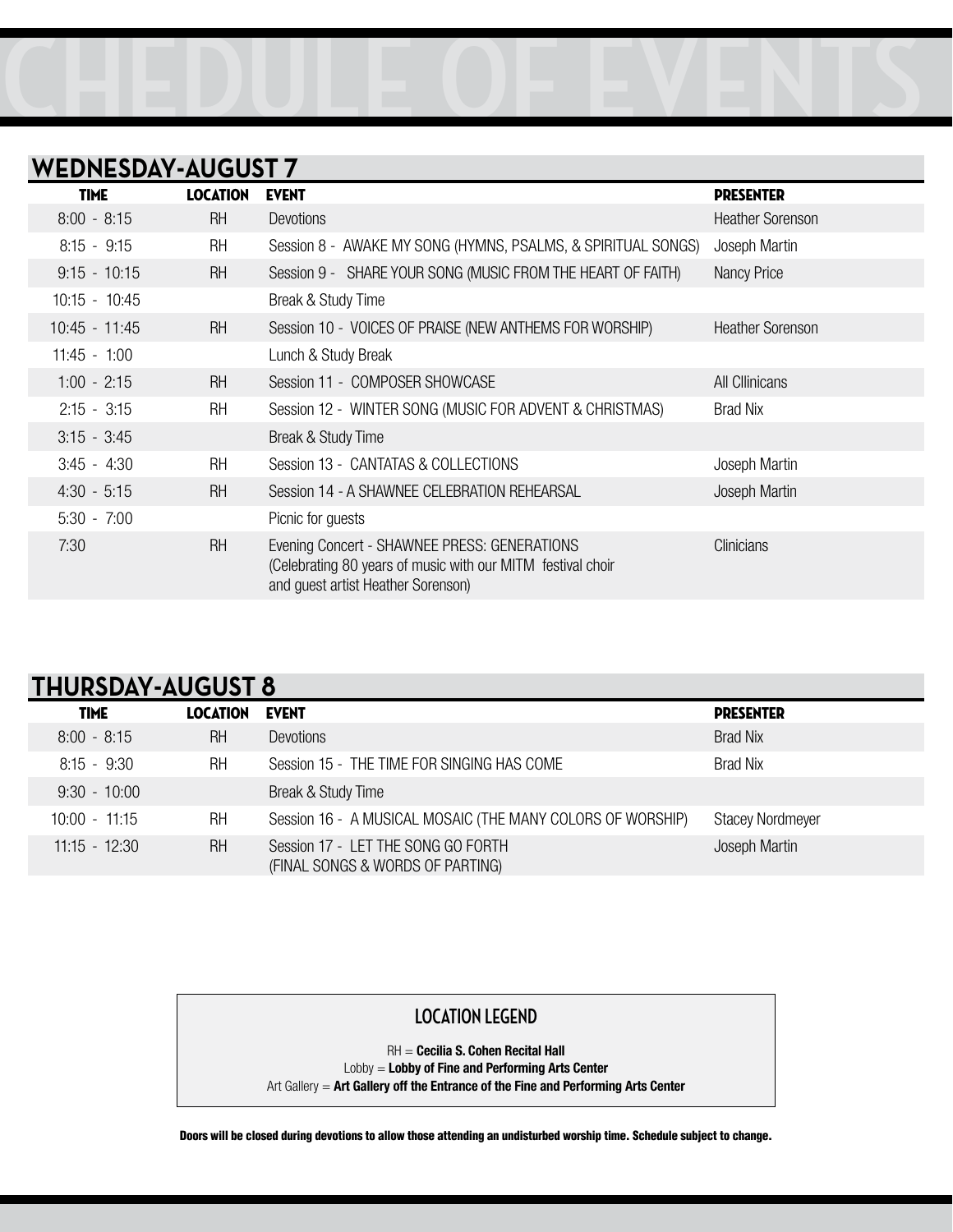

#### **WEDNESDAY-AUGUST 7**

| <b>TIME</b>     | <b>LOCATION</b> | <b>EVENT</b>                                                                                                                                      | <b>PRESENTER</b>        |
|-----------------|-----------------|---------------------------------------------------------------------------------------------------------------------------------------------------|-------------------------|
| $8:00 - 8:15$   | <b>RH</b>       | Devotions                                                                                                                                         | <b>Heather Sorenson</b> |
| $8:15 - 9:15$   | <b>RH</b>       | Session 8 - AWAKE MY SONG (HYMNS, PSALMS, & SPIRITUAL SONGS)                                                                                      | Joseph Martin           |
| $9:15 - 10:15$  | <b>RH</b>       | Session 9 - SHARE YOUR SONG (MUSIC FROM THE HEART OF FAITH)                                                                                       | Nancy Price             |
| $10:15 - 10:45$ |                 | Break & Study Time                                                                                                                                |                         |
| $10:45 - 11:45$ | <b>RH</b>       | Session 10 - VOICES OF PRAISE (NEW ANTHEMS FOR WORSHIP)                                                                                           | <b>Heather Sorenson</b> |
| $11:45 - 1:00$  |                 | Lunch & Study Break                                                                                                                               |                         |
| $1:00 - 2:15$   | <b>RH</b>       | Session 11 - COMPOSER SHOWCASE                                                                                                                    | All Cllinicans          |
| $2:15 - 3:15$   | <b>RH</b>       | Session 12 - WINTER SONG (MUSIC FOR ADVENT & CHRISTMAS)                                                                                           | <b>Brad Nix</b>         |
| $3:15 - 3:45$   |                 | Break & Study Time                                                                                                                                |                         |
| $3:45 - 4:30$   | <b>RH</b>       | Session 13 - CANTATAS & COLLECTIONS                                                                                                               | Joseph Martin           |
| $4:30 - 5:15$   | <b>RH</b>       | Session 14 - A SHAWNEE CELEBRATION REHEARSAL                                                                                                      | Joseph Martin           |
| $5:30 - 7:00$   |                 | Picnic for guests                                                                                                                                 |                         |
| 7:30            | <b>RH</b>       | Evening Concert - SHAWNEE PRESS: GENERATIONS<br>(Celebrating 80 years of music with our MITM festival choir<br>and guest artist Heather Sorenson) | <b>Clinicians</b>       |

#### **THURSDAY-AUGUST 8**

| <b>TIME</b>     | <b>LOCATION</b> | <b>EVENT</b>                                                           | <b>PRESENTER</b>        |
|-----------------|-----------------|------------------------------------------------------------------------|-------------------------|
| $8:00 - 8:15$   | <b>RH</b>       | Devotions                                                              | <b>Brad Nix</b>         |
| $8:15 - 9:30$   | <b>RH</b>       | Session 15 - THE TIME FOR SINGING HAS COME                             | Brad Nix                |
| $9:30 - 10:00$  |                 | Break & Study Time                                                     |                         |
| $10:00 - 11:15$ | <b>RH</b>       | Session 16 - A MUSICAL MOSAIC (THE MANY COLORS OF WORSHIP)             | <b>Stacey Nordmeyer</b> |
| $11:15 - 12:30$ | <b>RH</b>       | Session 17 - LET THE SONG GO FORTH<br>(FINAL SONGS & WORDS OF PARTING) | Joseph Martin           |

#### **LOCATION LEGEND**

RH = **Cecilia S. Cohen Recital Hall** Lobby = **Lobby of Fine and Performing Arts Center** Art Gallery = **Art Gallery off the Entrance of the Fine and Performing Arts Center**

Doors will be closed during devotions to allow those attending an undisturbed worship time. Schedule subject to change.